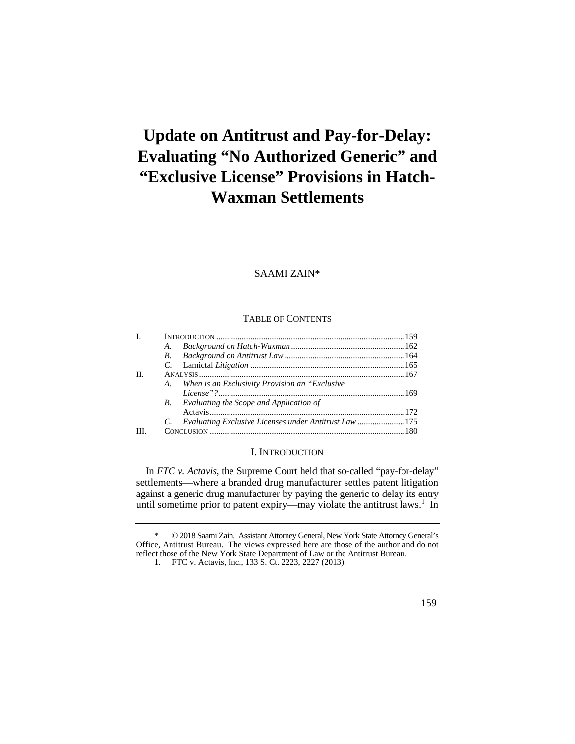# **Update on Antitrust and Pay-for-Delay: Evaluating "No Authorized Generic" and "Exclusive License" Provisions in Hatch-Waxman Settlements**

# SAAMI ZAIN\*

# TABLE OF CONTENTS

| Ι. |    |                                                       |  |
|----|----|-------------------------------------------------------|--|
|    | A. |                                                       |  |
|    | B. |                                                       |  |
|    |    |                                                       |  |
| H. |    |                                                       |  |
|    | A. | When is an Exclusivity Provision an "Exclusive"       |  |
|    |    |                                                       |  |
|    |    | <b>B.</b> Evaluating the Scope and Application of     |  |
|    |    |                                                       |  |
|    |    | Evaluating Exclusive Licenses under Antitrust Law 175 |  |
| Ш  |    |                                                       |  |
|    |    |                                                       |  |

#### I. INTRODUCTION

In *FTC v. Actavis*, the Supreme Court held that so-called "pay-for-delay" settlements—where a branded drug manufacturer settles patent litigation against a generic drug manufacturer by paying the generic to delay its entry until sometime prior to patent expiry—may violate the antitrust laws.<sup>1</sup> In

 Office, Antitrust Bureau. The views expressed here are those of the author and do not \* © 2018 Saami Zain. Assistant Attorney General, New York State Attorney General's reflect those of the New York State Department of Law or the Antitrust Bureau.

<sup>1.</sup> FTC v. Actavis, Inc., 133 S. Ct. 2223, 2227 (2013).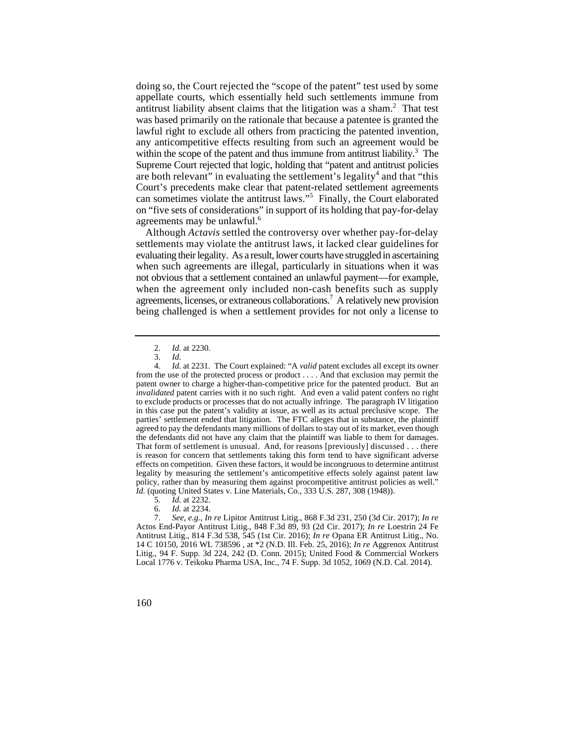doing so, the Court rejected the "scope of the patent" test used by some appellate courts, which essentially held such settlements immune from antitrust liability absent claims that the litigation was a sham.<sup>2</sup> That test was based primarily on the rationale that because a patentee is granted the lawful right to exclude all others from practicing the patented invention, any anticompetitive effects resulting from such an agreement would be within the scope of the patent and thus immune from antitrust liability.<sup>3</sup> The Supreme Court rejected that logic, holding that "patent and antitrust policies are both relevant" in evaluating the settlement's legality<sup>4</sup> and that "this Court's precedents make clear that patent-related settlement agreements can sometimes violate the antitrust laws."<sup>5</sup> Finally, the Court elaborated on "five sets of considerations" in support of its holding that pay-for-delay agreements may be unlawful.<sup>6</sup>

Although *Actavis* settled the controversy over whether pay-for-delay settlements may violate the antitrust laws, it lacked clear guidelines for evaluating their legality. As a result, lower courts have struggled in ascertaining when such agreements are illegal, particularly in situations when it was not obvious that a settlement contained an unlawful payment—for example, when the agreement only included non-cash benefits such as supply agreements, licenses, or extraneous collaborations.<sup>7</sup> A relatively new provision being challenged is when a settlement provides for not only a license to

- 5. *Id.* at 2232.
- 6. *Id.* at 2234.

 <sup>2.</sup> *Id.* at 2230.

<sup>3.</sup> *Id.*

 patent owner to charge a higher-than-competitive price for the patented product. But an the defendants did not have any claim that the plaintiff was liable to them for damages. 4. *Id*. at 2231. The Court explained: "A *valid* patent excludes all except its owner from the use of the protected process or product . . . . And that exclusion may permit the *invalidated* patent carries with it no such right. And even a valid patent confers no right to exclude products or processes that do not actually infringe. The paragraph IV litigation in this case put the patent's validity at issue, as well as its actual preclusive scope. The parties' settlement ended that litigation. The FTC alleges that in substance, the plaintiff agreed to pay the defendants many millions of dollars to stay out of its market, even though That form of settlement is unusual. And, for reasons [previously] discussed . . . there is reason for concern that settlements taking this form tend to have significant adverse effects on competition. Given these factors, it would be incongruous to determine antitrust legality by measuring the settlement's anticompetitive effects solely against patent law policy, rather than by measuring them against procompetitive antitrust policies as well." *Id.* (quoting United States v. Line Materials, Co., 333 U.S. 287, 308 (1948)).

<sup>7.</sup> *See, e.g.*, *In re* Lipitor Antitrust Litig., 868 F.3d 231, 250 (3d Cir. 2017); *In re*  Actos End-Payor Antitrust Litig., 848 F.3d 89, 93 (2d Cir. 2017); *In re* Loestrin 24 Fe Antitrust Litig., 814 F.3d 538, 545 (1st Cir. 2016); *In re* Opana ER Antitrust Litig., No. 14 C 10150, 2016 WL 738596 , at \*2 (N.D. Ill. Feb. 25, 2016); *In re* Aggrenox Antitrust Litig., 94 F. Supp. 3d 224, 242 (D. Conn. 2015); United Food & Commercial Workers Local 1776 v. Teikoku Pharma USA, Inc., 74 F. Supp. 3d 1052, 1069 (N.D. Cal. 2014).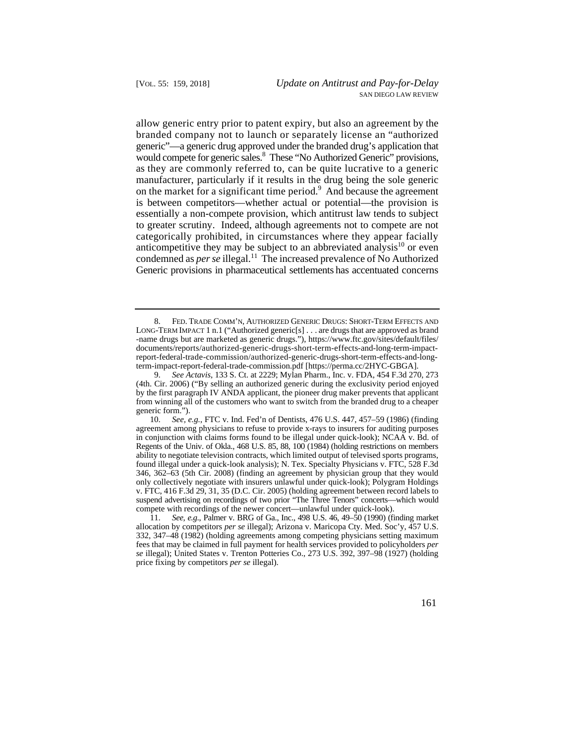allow generic entry prior to patent expiry, but also an agreement by the categorically prohibited, in circumstances where they appear facially branded company not to launch or separately license an "authorized generic"—a generic drug approved under the branded drug's application that would compete for generic sales.<sup>8</sup> These "No Authorized Generic" provisions, as they are commonly referred to, can be quite lucrative to a generic manufacturer, particularly if it results in the drug being the sole generic on the market for a significant time period.<sup>9</sup> And because the agreement is between competitors—whether actual or potential—the provision is essentially a non-compete provision, which antitrust law tends to subject to greater scrutiny. Indeed, although agreements not to compete are not anticompetitive they may be subject to an abbreviated analysis<sup>10</sup> or even condemned as *per se* illegal.<sup>11</sup> The increased prevalence of No Authorized Generic provisions in pharmaceutical settlements has accentuated concerns

 <sup>8.</sup> FED. TRADE COMM'N, AUTHORIZED GENERIC DRUGS: SHORT-TERM EFFECTS AND LONG-TERM IMPACT 1 n.1 ("Authorized generic[s] . . . are drugs that are approved as brand -name drugs but are marketed as generic drugs."), https://www.ftc.gov/sites/default/files/ documents/reports/authorized-generic-drugs-short-term-effects-and-long-term-impactreport-federal-trade-commission/authorized-generic-drugs-short-term-effects-and-longterm-impact-report-federal-trade-commission.pdf [https://perma.cc/2HYC-GBGA].

 from winning all of the customers who want to switch from the branded drug to a cheaper 9. *See Actavis*, 133 S. Ct. at 2229; Mylan Pharm., Inc. v. FDA, 454 F.3d 270, 273 (4th. Cir. 2006) ("By selling an authorized generic during the exclusivity period enjoyed by the first paragraph IV ANDA applicant, the pioneer drug maker prevents that applicant generic form.").

 agreement among physicians to refuse to provide x-rays to insurers for auditing purposes in conjunction with claims forms found to be illegal under quick-look); NCAA v. Bd. of Regents of the Univ. of Okla., 468 U.S. 85, 88, 100 (1984) (holding restrictions on members 346, 362–63 (5th Cir. 2008) (finding an agreement by physician group that they would suspend advertising on recordings of two prior "The Three Tenors" concerts—which would 10. *See, e.g.*, FTC v. Ind. Fed'n of Dentists, 476 U.S. 447, 457–59 (1986) (finding ability to negotiate television contracts, which limited output of televised sports programs, found illegal under a quick-look analysis); N. Tex. Specialty Physicians v. FTC, 528 F.3d only collectively negotiate with insurers unlawful under quick-look); Polygram Holdings v. FTC, 416 F.3d 29, 31, 35 (D.C. Cir. 2005) (holding agreement between record labels to compete with recordings of the newer concert—unlawful under quick-look).

 fees that may be claimed in full payment for health services provided to policyholders *per*  11. *See, e.g*., Palmer v. BRG of Ga., Inc., 498 U.S. 46, 49–50 (1990) (finding market allocation by competitors *per se* illegal); Arizona v. Maricopa Cty. Med. Soc'y, 457 U.S. 332, 347–48 (1982) (holding agreements among competing physicians setting maximum *se* illegal); United States v. Trenton Potteries Co., 273 U.S. 392, 397–98 (1927) (holding price fixing by competitors *per se* illegal).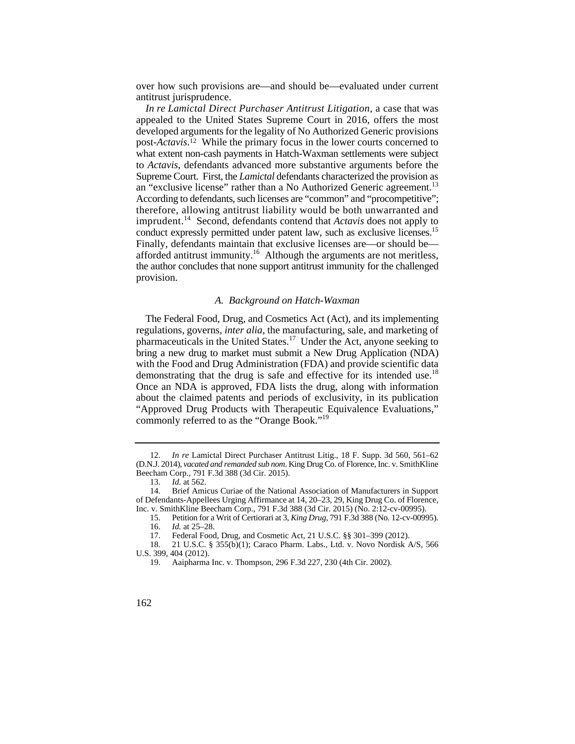over how such provisions are—and should be—evaluated under current antitrust jurisprudence.

 *In re Lamictal Direct Purchaser Antitrust Litigation*, a case that was an "exclusive license" rather than a No Authorized Generic agreement.<sup>13</sup> conduct expressly permitted under patent law, such as exclusive licenses.<sup>15</sup> appealed to the United States Supreme Court in 2016, offers the most developed arguments for the legality of No Authorized Generic provisions post-*Actavis*. 12 While the primary focus in the lower courts concerned to what extent non-cash payments in Hatch-Waxman settlements were subject to *Actavis*, defendants advanced more substantive arguments before the Supreme Court. First, the *Lamictal* defendants characterized the provision as According to defendants, such licenses are "common" and "procompetitive"; therefore, allowing antitrust liability would be both unwarranted and imprudent.14 Second, defendants contend that *Actavis* does not apply to Finally, defendants maintain that exclusive licenses are—or should be afforded antitrust immunity.16 Although the arguments are not meritless, the author concludes that none support antitrust immunity for the challenged provision.

#### *A. Background on Hatch-Waxman*

demonstrating that the drug is safe and effective for its intended use.<sup>18</sup> The Federal Food, Drug, and Cosmetics Act (Act), and its implementing regulations, governs, *inter alia*, the manufacturing, sale, and marketing of pharmaceuticals in the United States.<sup>17</sup> Under the Act, anyone seeking to bring a new drug to market must submit a New Drug Application (NDA) with the Food and Drug Administration (FDA) and provide scientific data Once an NDA is approved, FDA lists the drug, along with information about the claimed patents and periods of exclusivity, in its publication "Approved Drug Products with Therapeutic Equivalence Evaluations," commonly referred to as the "Orange Book."<sup>19</sup>

 (D.N.J. 2014), *vacated and remanded sub nom*. King Drug Co. of Florence, Inc. v. SmithKline 12. *In re* Lamictal Direct Purchaser Antitrust Litig., 18 F. Supp. 3d 560, 561–62 Beecham Corp., 791 F.3d 388 (3d Cir. 2015).

<sup>13.</sup> *Id.* at 562.

<sup>14.</sup> Brief Amicus Curiae of the National Association of Manufacturers in Support of Defendants-Appellees Urging Affirmance at 14, 20–23, 29, King Drug Co. of Florence, Inc. v. SmithKline Beecham Corp., 791 F.3d 388 (3d Cir. 2015) (No. 2:12-cv-00995).

<sup>15.</sup> Petition for a Writ of Certiorari at 3, *King Drug*, 791 F.3d 388 (No. 12-cv-00995). 16. *Id.* at 25–28.

<sup>17.</sup> Federal Food, Drug, and Cosmetic Act, 21 U.S.C. §§ 301–399 (2012).

<sup>18. 21</sup> U.S.C. § 355(b)(1); Caraco Pharm. Labs., Ltd. v. Novo Nordisk A/S, 566 U.S. 399, 404 (2012).

<sup>19.</sup> Aaipharma Inc. v. Thompson, 296 F.3d 227, 230 (4th Cir. 2002).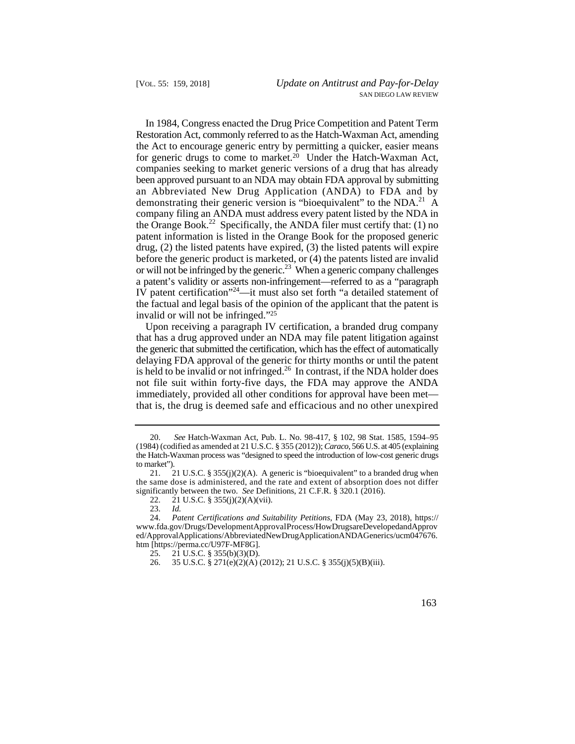for generic drugs to come to market.<sup>20</sup> Under the Hatch-Waxman Act, or will not be infringed by the generic.<sup>23</sup> When a generic company challenges In 1984, Congress enacted the Drug Price Competition and Patent Term Restoration Act, commonly referred to as the Hatch-Waxman Act, amending the Act to encourage generic entry by permitting a quicker, easier means companies seeking to market generic versions of a drug that has already been approved pursuant to an NDA may obtain FDA approval by submitting an Abbreviated New Drug Application (ANDA) to FDA and by demonstrating their generic version is "bioequivalent" to the  $NDA.<sup>21</sup>$  A company filing an ANDA must address every patent listed by the NDA in the Orange Book.<sup>22</sup> Specifically, the ANDA filer must certify that: (1) no patent information is listed in the Orange Book for the proposed generic drug, (2) the listed patents have expired, (3) the listed patents will expire before the generic product is marketed, or (4) the patents listed are invalid a patent's validity or asserts non-infringement—referred to as a "paragraph IV patent certification"<sup>24</sup>—it must also set forth "a detailed statement of the factual and legal basis of the opinion of the applicant that the patent is invalid or will not be infringed."25

Upon receiving a paragraph IV certification, a branded drug company that has a drug approved under an NDA may file patent litigation against the generic that submitted the certification, which has the effect of automatically delaying FDA approval of the generic for thirty months or until the patent is held to be invalid or not infringed.<sup>26</sup> In contrast, if the NDA holder does not file suit within forty-five days, the FDA may approve the ANDA immediately, provided all other conditions for approval have been met that is, the drug is deemed safe and efficacious and no other unexpired

 <sup>20.</sup> *See* Hatch-Waxman Act, Pub. L. No. 98-417, § 102, 98 Stat. 1585, 1594–95 (1984) (codified as amended at 21 U.S.C. § 355 (2012)); *Caraco*, 566 U.S. at 405 (explaining the Hatch-Waxman process was "designed to speed the introduction of low-cost generic drugs to market").<br> $21.2$ 

<sup>21</sup> U.S.C. §  $355(j)(2)(A)$ . A generic is "bioequivalent" to a branded drug when the same dose is administered, and the rate and extent of absorption does not differ significantly between the two. *See* Definitions, 21 C.F.R. § 320.1 (2016).

<sup>22. 21</sup> U.S.C. § 355(j)(2)(A)(vii).

<sup>23.</sup> *Id.*

 <sup>24.</sup> *Patent Certifications and Suitability Petitions*, FDA (May 23, 2018), https:// www.fda.gov/Drugs/DevelopmentApprovalProcess/HowDrugsareDevelopedandApprov ed/ApprovalApplications/AbbreviatedNewDrugApplicationANDAGenerics/ucm047676. htm [https://perma.cc/U97F-MF8G].

<sup>25. 21</sup> U.S.C. § 355(b)(3)(D).<br>26. 35 U.S.C. § 271(e)(2)(A)

<sup>26. 35</sup> U.S.C. § 271(e)(2)(A) (2012); 21 U.S.C. § 355(j)(5)(B)(iii).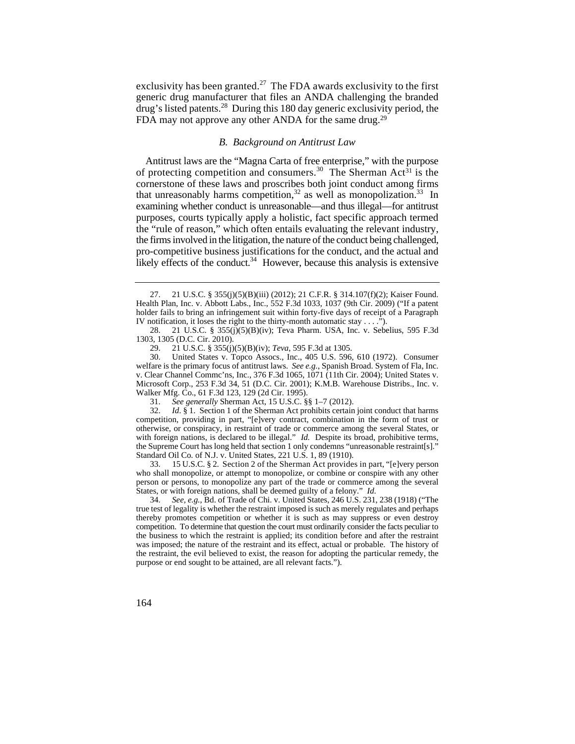drug's listed patents.<sup>28</sup> During this 180 day generic exclusivity period, the exclusivity has been granted.<sup>27</sup> The FDA awards exclusivity to the first generic drug manufacturer that files an ANDA challenging the branded FDA may not approve any other ANDA for the same drug.<sup>29</sup>

#### *B. Background on Antitrust Law*

Antitrust laws are the "Magna Carta of free enterprise," with the purpose of protecting competition and consumers.<sup>30</sup> The Sherman Act<sup>31</sup> is the cornerstone of these laws and proscribes both joint conduct among firms that unreasonably harms competition,<sup>32</sup> as well as monopolization.<sup>33</sup> In examining whether conduct is unreasonable—and thus illegal—for antitrust purposes, courts typically apply a holistic, fact specific approach termed the "rule of reason," which often entails evaluating the relevant industry, the firms involved in the litigation, the nature of the conduct being challenged, pro-competitive business justifications for the conduct, and the actual and likely effects of the conduct.<sup>34</sup> However, because this analysis is extensive

 IV notification, it loses the right to the thirty-month automatic stay . . . ."). 27. 21 U.S.C. § 355(j)(5)(B)(iii) (2012); 21 C.F.R. § 314.107(f)(2); Kaiser Found. Health Plan, Inc. v. Abbott Labs., Inc., 552 F.3d 1033, 1037 (9th Cir. 2009) ("If a patent holder fails to bring an infringement suit within forty-five days of receipt of a Paragraph

<sup>28. 21</sup> U.S.C. § 355(j)(5)(B)(iv); Teva Pharm. USA, Inc. v. Sebelius, 595 F.3d 1303, 1305 (D.C. Cir. 2010).

<sup>29. 21</sup> U.S.C. § 355(j)(5)(B)(iv); *Teva*, 595 F.3d at 1305. United States v. Topco Assocs., Inc., 405 U.S. 596, 610 (1972). Consumer welfare is the primary focus of antitrust laws. *See e.g.*, Spanish Broad. System of Fla, Inc. v. Clear Channel Commc'ns, Inc., 376 F.3d 1065, 1071 (11th Cir. 2004); United States v. Microsoft Corp., 253 F.3d 34, 51 (D.C. Cir. 2001); K.M.B. Warehouse Distribs., Inc. v. Walker Mfg. Co., 61 F.3d 123, 129 (2d Cir. 1995).

<sup>31.</sup> *See generally* Sherman Act, 15 U.S.C. §§ 1–7 (2012).

 with foreign nations, is declared to be illegal." *Id.* Despite its broad, prohibitive terms, the Supreme Court has long held that section 1 only condemns "unreasonable restraint[s]." 32. *Id*. § 1. Section 1 of the Sherman Act prohibits certain joint conduct that harms competition, providing in part, "[e]very contract, combination in the form of trust or otherwise, or conspiracy, in restraint of trade or commerce among the several States, or Standard Oil Co. of N.J. v. United States, 221 U.S. 1, 89 (1910).

<sup>33. 15</sup> U.S.C. § 2. Section 2 of the Sherman Act provides in part, "[e]very person who shall monopolize, or attempt to monopolize, or combine or conspire with any other person or persons, to monopolize any part of the trade or commerce among the several States, or with foreign nations, shall be deemed guilty of a felony." *Id*.

 competition. To determine that question the court must ordinarily consider the facts peculiar to 34. *See, e.g.*, Bd. of Trade of Chi. v. United States, 246 U.S. 231, 238 (1918) ("The true test of legality is whether the restraint imposed is such as merely regulates and perhaps thereby promotes competition or whether it is such as may suppress or even destroy the business to which the restraint is applied; its condition before and after the restraint was imposed; the nature of the restraint and its effect, actual or probable. The history of the restraint, the evil believed to exist, the reason for adopting the particular remedy, the purpose or end sought to be attained, are all relevant facts.").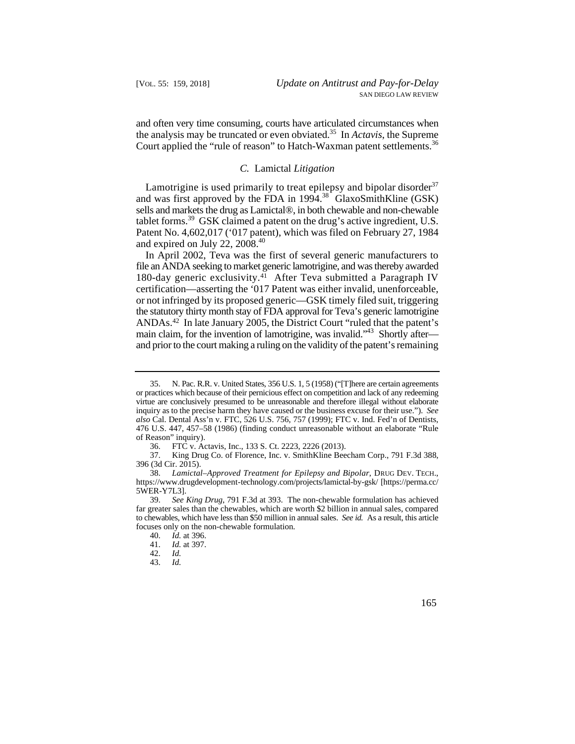and often very time consuming, courts have articulated circumstances when the analysis may be truncated or even obviated.35 In *Actavis*, the Supreme Court applied the "rule of reason" to Hatch-Waxman patent settlements.<sup>36</sup>

#### *C.* Lamictal *Litigation*

 sells and markets the drug as Lamictal®, in both chewable and non-chewable Lamotrigine is used primarily to treat epilepsy and bipolar disorder $37$ and was first approved by the FDA in  $1994.38$  GlaxoSmithKline (GSK) tablet forms.<sup>39</sup> GSK claimed a patent on the drug's active ingredient, U.S. Patent No. 4,602,017 ('017 patent), which was filed on February 27, 1984 and expired on July 22,  $2008.<sup>40</sup>$ 

In April 2002, Teva was the first of several generic manufacturers to file an ANDA seeking to market generic lamotrigine, and was thereby awarded 180-day generic exclusivity.41 After Teva submitted a Paragraph IV certification—asserting the '017 Patent was either invalid, unenforceable, or not infringed by its proposed generic—GSK timely filed suit, triggering the statutory thirty month stay of FDA approval for Teva's generic lamotrigine ANDAs.42 In late January 2005, the District Court "ruled that the patent's main claim, for the invention of lamotrigine, was invalid."<sup>43</sup> Shortly after and prior to the court making a ruling on the validity of the patent's remaining

 or practices which because of their pernicious effect on competition and lack of any redeeming 35. N. Pac. R.R. v. United States, 356 U.S. 1, 5 (1958) ("[T]here are certain agreements virtue are conclusively presumed to be unreasonable and therefore illegal without elaborate inquiry as to the precise harm they have caused or the business excuse for their use."). *See also* Cal. Dental Ass'n v. FTC, 526 U.S. 756, 757 (1999); FTC v. Ind. Fed'n of Dentists, 476 U.S. 447, 457–58 (1986) (finding conduct unreasonable without an elaborate "Rule of Reason" inquiry).

<sup>36.</sup> FTC v. Actavis, Inc., 133 S. Ct. 2223, 2226 (2013).

<sup>37.</sup> King Drug Co. of Florence, Inc. v. SmithKline Beecham Corp., 791 F.3d 388, 396 (3d Cir. 2015).

 38. *Lamictal–Approved Treatment for Epilepsy and Bipolar*, DRUG DEV. TECH., https://www.drugdevelopment-technology.com/projects/lamictal-by-gsk/ [https://perma.cc/ 5WER-Y7L3].

 39. *See King Drug*, 791 F.3d at 393. The non-chewable formulation has achieved to chewables, which have less than \$50 million in annual sales. *See id.* As a result, this article far greater sales than the chewables, which are worth \$2 billion in annual sales, compared focuses only on the non-chewable formulation.

<sup>40.</sup> *Id.* at 396.

<sup>41.</sup> *Id.* at 397.

<sup>42.</sup> *Id.*

 <sup>43.</sup> *Id.*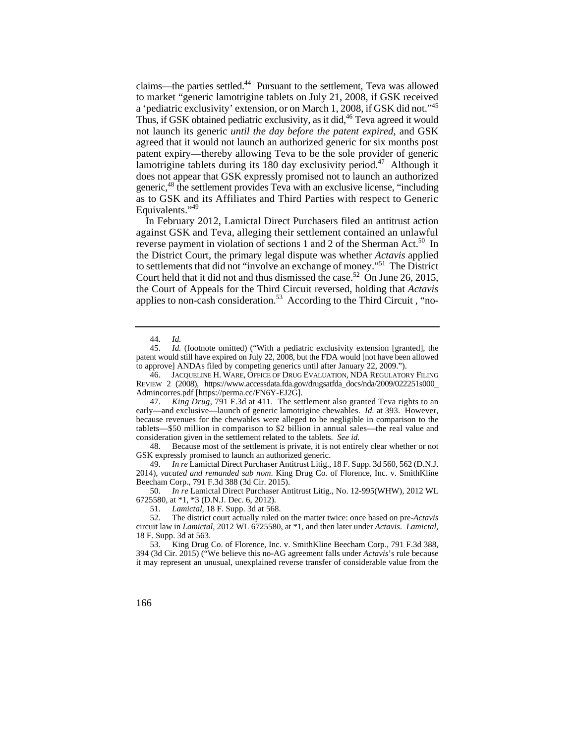a 'pediatric exclusivity' extension, or on March 1, 2008, if GSK did not."<sup>45</sup> as to GSK and its Affiliates and Third Parties with respect to Generic claims—the parties settled.<sup>44</sup> Pursuant to the settlement. Teva was allowed to market "generic lamotrigine tablets on July 21, 2008, if GSK received Thus, if GSK obtained pediatric exclusivity, as it did,<sup>46</sup> Teva agreed it would not launch its generic *until the day before the patent expired*, and GSK agreed that it would not launch an authorized generic for six months post patent expiry—thereby allowing Teva to be the sole provider of generic lamotrigine tablets during its 180 day exclusivity period.<sup>47</sup> Although it does not appear that GSK expressly promised not to launch an authorized generic,48 the settlement provides Teva with an exclusive license, "including Equivalents."<sup>49</sup>

In February 2012, Lamictal Direct Purchasers filed an antitrust action against GSK and Teva, alleging their settlement contained an unlawful reverse payment in violation of sections 1 and 2 of the Sherman Act.<sup>50</sup> In the District Court, the primary legal dispute was whether *Actavis* applied to settlements that did not "involve an exchange of money."51 The District Court held that it did not and thus dismissed the case.<sup>52</sup> On June 26, 2015, the Court of Appeals for the Third Circuit reversed, holding that *Actavis*  applies to non-cash consideration.<sup>53</sup> According to the Third Circuit , "no-

 46. JACQUELINE H. WARE, OFFICE OF DRUG EVALUATION, NDA REGULATORY FILING REVIEW 2 (2008), https://www.accessdata.fda.gov/drugsatfda\_docs/nda/2009/022251s000\_ Admincorres.pdf [https://perma.cc/FN6Y-EJ2G].

 early—and exclusive—launch of generic lamotrigine chewables. *Id.* at 393. However, tablets—\$50 million in comparison to \$2 billion in annual sales—the real value and consideration given in the settlement related to the tablets. *See id.*  47. *King Drug*, 791 F.3d at 411. The settlement also granted Teva rights to an because revenues for the chewables were alleged to be negligible in comparison to the

48. Because most of the settlement is private, it is not entirely clear whether or not GSK expressly promised to launch an authorized generic.

49. *In re* Lamictal Direct Purchaser Antitrust Litig., 18 F. Supp. 3d 560, 562 (D.N.J. 2014), *vacated and remanded sub nom*. King Drug Co. of Florence, Inc. v. SmithKline Beecham Corp., 791 F.3d 388 (3d Cir. 2015).

50. *In re* Lamictal Direct Purchaser Antitrust Litig., No. 12-995(WHW), 2012 WL 6725580, at \*1, \*3 (D.N.J. Dec. 6, 2012).

51. *Lamictal*, 18 F. Supp. 3d at 568.

52. The district court actually ruled on the matter twice: once based on pre-*Actavis*  circuit law in *Lamictal*, 2012 WL 6725580, at \*1, and then later under *Actavis*. *Lamictal*, 18 F. Supp. 3d at 563.

53. King Drug Co. of Florence, Inc. v. SmithKline Beecham Corp., 791 F.3d 388, 394 (3d Cir. 2015) ("We believe this no-AG agreement falls under *Actavis*'s rule because it may represent an unusual, unexplained reverse transfer of considerable value from the

<sup>44.</sup> *Id.*

 45. *Id.* (footnote omitted) ("With a pediatric exclusivity extension [granted], the patent would still have expired on July 22, 2008, but the FDA would [not have been allowed to approve] ANDAs filed by competing generics until after January 22, 2009.").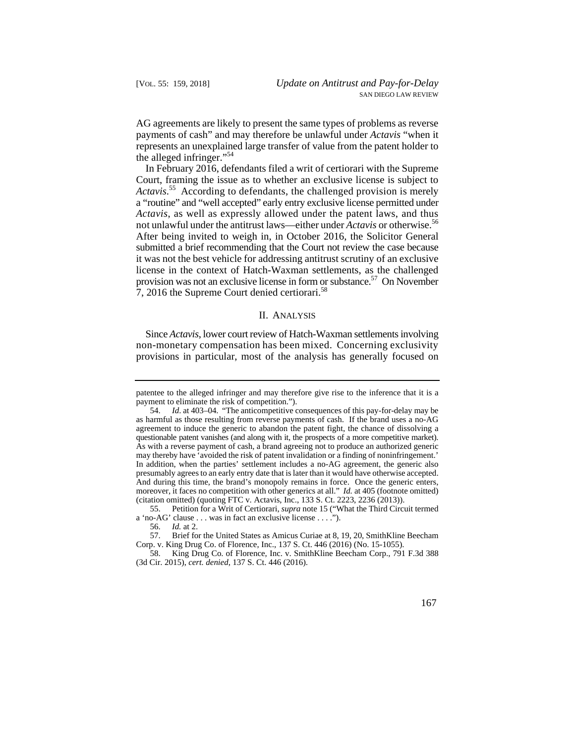AG agreements are likely to present the same types of problems as reverse payments of cash" and may therefore be unlawful under *Actavis* "when it represents an unexplained large transfer of value from the patent holder to the alleged infringer."54

 not unlawful under the antitrust laws—either under *Actavis* or otherwise.56 In February 2016, defendants filed a writ of certiorari with the Supreme Court, framing the issue as to whether an exclusive license is subject to *Actavis*. 55 According to defendants, the challenged provision is merely a "routine" and "well accepted" early entry exclusive license permitted under *Actavis*, as well as expressly allowed under the patent laws, and thus After being invited to weigh in, in October 2016, the Solicitor General submitted a brief recommending that the Court not review the case because it was not the best vehicle for addressing antitrust scrutiny of an exclusive license in the context of Hatch-Waxman settlements, as the challenged provision was not an exclusive license in form or substance.<sup>57</sup> On November 7, 2016 the Supreme Court denied certiorari.58

## II. ANALYSIS

Since *Actavis*, lower court review of Hatch-Waxman settlements involving non-monetary compensation has been mixed. Concerning exclusivity provisions in particular, most of the analysis has generally focused on

55. Petition for a Writ of Certiorari, *supra* note 15 ("What the Third Circuit termed a 'no-AG' clause . . . was in fact an exclusive license . . . .").

 patentee to the alleged infringer and may therefore give rise to the inference that it is a payment to eliminate the risk of competition.").

 as harmful as those resulting from reverse payments of cash. If the brand uses a no-AG questionable patent vanishes (and along with it, the prospects of a more competitive market). may thereby have 'avoided the risk of patent invalidation or a finding of noninfringement.' presumably agrees to an early entry date that is later than it would have otherwise accepted. 54. *Id*. at 403–04. "The anticompetitive consequences of this pay-for-delay may be agreement to induce the generic to abandon the patent fight, the chance of dissolving a As with a reverse payment of cash, a brand agreeing not to produce an authorized generic In addition, when the parties' settlement includes a no-AG agreement, the generic also And during this time, the brand's monopoly remains in force. Once the generic enters, moreover, it faces no competition with other generics at all." *Id.* at 405 (footnote omitted) (citation omitted) (quoting FTC v. Actavis, Inc., 133 S. Ct. 2223, 2236 (2013)).

<sup>56.</sup> *Id.* at 2.

<sup>57.</sup> Brief for the United States as Amicus Curiae at 8, 19, 20, SmithKline Beecham Corp. v. King Drug Co. of Florence, Inc., 137 S. Ct. 446 (2016) (No. 15-1055).

<sup>58.</sup> King Drug Co. of Florence, Inc. v. SmithKline Beecham Corp., 791 F.3d 388 (3d Cir. 2015), *cert. denied*, 137 S. Ct. 446 (2016).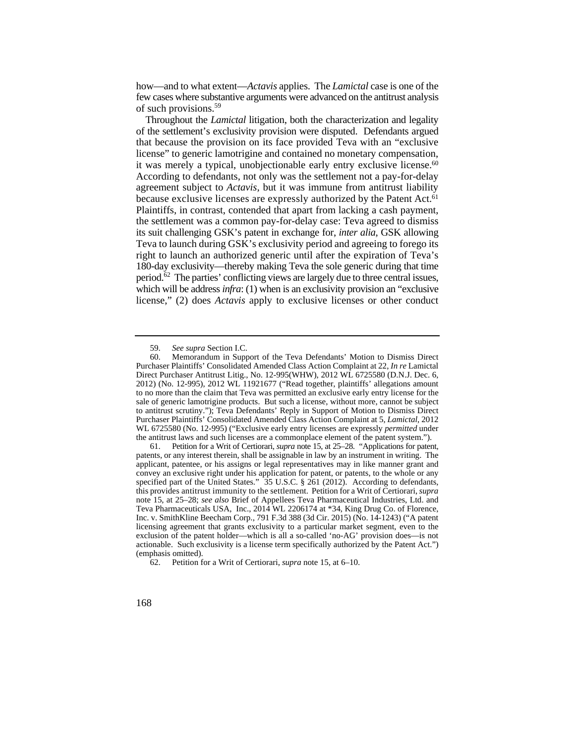how—and to what extent—*Actavis* applies. The *Lamictal* case is one of the few cases where substantive arguments were advanced on the antitrust analysis of such provisions.<sup>59</sup>

 Throughout the *Lamictal* litigation, both the characterization and legality it was merely a typical, unobjectionable early entry exclusive license.<sup>60</sup> because exclusive licenses are expressly authorized by the Patent Act.<sup>61</sup> of the settlement's exclusivity provision were disputed. Defendants argued that because the provision on its face provided Teva with an "exclusive license" to generic lamotrigine and contained no monetary compensation, According to defendants, not only was the settlement not a pay-for-delay agreement subject to *Actavis,* but it was immune from antitrust liability Plaintiffs, in contrast, contended that apart from lacking a cash payment, the settlement was a common pay-for-delay case: Teva agreed to dismiss its suit challenging GSK's patent in exchange for, *inter alia*, GSK allowing Teva to launch during GSK's exclusivity period and agreeing to forego its right to launch an authorized generic until after the expiration of Teva's 180-day exclusivity—thereby making Teva the sole generic during that time period. $62$  The parties' conflicting views are largely due to three central issues, which will be address *infra*: (1) when is an exclusivity provision an "exclusive license," (2) does *Actavis* apply to exclusive licenses or other conduct

<sup>59.</sup> *See supra* Section I.C.

 to antitrust scrutiny."); Teva Defendants' Reply in Support of Motion to Dismiss Direct 60. Memorandum in Support of the Teva Defendants' Motion to Dismiss Direct Purchaser Plaintiffs' Consolidated Amended Class Action Complaint at 22, *In re* Lamictal Direct Purchaser Antitrust Litig., No. 12-995(WHW), 2012 WL 6725580 (D.N.J. Dec. 6, 2012) (No. 12-995), 2012 WL 11921677 ("Read together, plaintiffs' allegations amount to no more than the claim that Teva was permitted an exclusive early entry license for the sale of generic lamotrigine products. But such a license, without more, cannot be subject Purchaser Plaintiffs' Consolidated Amended Class Action Complaint at 5, *Lamictal*, 2012 WL 6725580 (No. 12-995) ("Exclusive early entry licenses are expressly *permitted* under the antitrust laws and such licenses are a commonplace element of the patent system.").

 this provides antitrust immunity to the settlement. Petition for a Writ of Certiorari, *supra* 61. Petition for a Writ of Certiorari, *supra* note 15, at 25–28. "Applications for patent, patents, or any interest therein, shall be assignable in law by an instrument in writing. The applicant, patentee, or his assigns or legal representatives may in like manner grant and convey an exclusive right under his application for patent, or patents, to the whole or any specified part of the United States." 35 U.S.C. § 261 (2012). According to defendants, note 15, at 25–28; *see also* Brief of Appellees Teva Pharmaceutical Industries, Ltd. and Teva Pharmaceuticals USA, Inc., 2014 WL 2206174 at \*34, King Drug Co. of Florence, Inc. v. SmithKline Beecham Corp., 791 F.3d 388 (3d Cir. 2015) (No. 14-1243) ("A patent licensing agreement that grants exclusivity to a particular market segment, even to the exclusion of the patent holder—which is all a so-called 'no-AG' provision does—is not actionable. Such exclusivity is a license term specifically authorized by the Patent Act.") (emphasis omitted).

<sup>62.</sup> Petition for a Writ of Certiorari, *supra* note 15, at 6–10.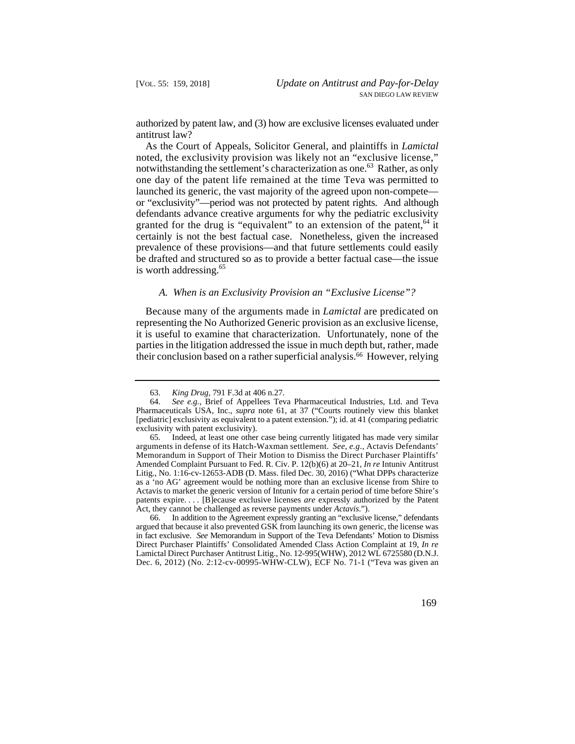authorized by patent law, and (3) how are exclusive licenses evaluated under antitrust law?

 one day of the patent life remained at the time Teva was permitted to or "exclusivity"—period was not protected by patent rights. And although As the Court of Appeals, Solicitor General, and plaintiffs in *Lamictal*  noted, the exclusivity provision was likely not an "exclusive license," notwithstanding the settlement's characterization as one.<sup>63</sup> Rather, as only launched its generic, the vast majority of the agreed upon non-compete defendants advance creative arguments for why the pediatric exclusivity granted for the drug is "equivalent" to an extension of the patent,  $64$  it certainly is not the best factual case. Nonetheless, given the increased prevalence of these provisions—and that future settlements could easily be drafted and structured so as to provide a better factual case—the issue is worth addressing. $65$ 

## *A. When is an Exclusivity Provision an "Exclusive License"?*

their conclusion based on a rather superficial analysis.<sup>66</sup> However, relying Because many of the arguments made in *Lamictal* are predicated on representing the No Authorized Generic provision as an exclusive license, it is useful to examine that characterization. Unfortunately, none of the parties in the litigation addressed the issue in much depth but, rather, made

 in fact exclusive. *See* Memorandum in Support of the Teva Defendants' Motion to Dismiss Dec. 6, 2012) (No. 2:12-cv-00995-WHW-CLW), ECF No. 71-1 ("Teva was given an 66. In addition to the Agreement expressly granting an "exclusive license," defendants argued that because it also prevented GSK from launching its own generic, the license was Direct Purchaser Plaintiffs' Consolidated Amended Class Action Complaint at 19, *In re*  Lamictal Direct Purchaser Antitrust Litig., No. 12-995(WHW), 2012 WL 6725580 (D.N.J.

<sup>63.</sup> *King Drug*, 791 F.3d at 406 n.27.

 [pediatric] exclusivity as equivalent to a patent extension."); id. at 41 (comparing pediatric 64. *See e.g.*, Brief of Appellees Teva Pharmaceutical Industries, Ltd. and Teva Pharmaceuticals USA, Inc., *supra* note 61, at 37 ("Courts routinely view this blanket exclusivity with patent exclusivity).

 as a 'no AG' agreement would be nothing more than an exclusive license from Shire to patents expire. . . . [B]ecause exclusive licenses *are* expressly authorized by the Patent 65. Indeed, at least one other case being currently litigated has made very similar arguments in defense of its Hatch-Waxman settlement. *See*, *e.g*., Actavis Defendants' Memorandum in Support of Their Motion to Dismiss the Direct Purchaser Plaintiffs' Amended Complaint Pursuant to Fed. R. Civ. P. 12(b)(6) at 20–21, *In re* Intuniv Antitrust Litig., No. 1:16-cv-12653-ADB (D. Mass. filed Dec. 30, 2016) ("What DPPs characterize Actavis to market the generic version of Intuniv for a certain period of time before Shire's Act, they cannot be challenged as reverse payments under *Actavis*.").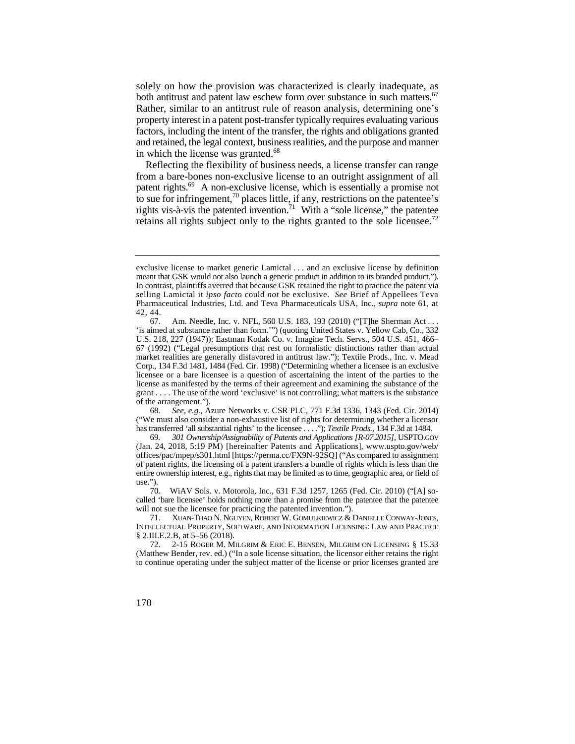both antitrust and patent law eschew form over substance in such matters.<sup>67</sup> factors, including the intent of the transfer, the rights and obligations granted solely on how the provision was characterized is clearly inadequate, as Rather, similar to an antitrust rule of reason analysis, determining one's property interest in a patent post-transfer typically requires evaluating various and retained, the legal context, business realities, and the purpose and manner in which the license was granted.<sup>68</sup>

retains all rights subject only to the rights granted to the sole licensee.<sup>72</sup> Reflecting the flexibility of business needs, a license transfer can range from a bare-bones non-exclusive license to an outright assignment of all patent rights.69 A non-exclusive license, which is essentially a promise not to sue for infringement,<sup>70</sup> places little, if any, restrictions on the patentee's rights vis-à-vis the patented invention.<sup>71</sup> With a "sole license," the patentee

 exclusive license to market generic Lamictal . . . and an exclusive license by definition meant that GSK would not also launch a generic product in addition to its branded product."). In contrast, plaintiffs averred that because GSK retained the right to practice the patent via selling Lamictal it *ipso facto* could *not* be exclusive. *See* Brief of Appellees Teva Pharmaceutical Industries, Ltd. and Teva Pharmaceuticals USA, Inc., *supra* note 61, at 42, 44.

 Corp., 134 F.3d 1481, 1484 (Fed. Cir. 1998) ("Determining whether a licensee is an exclusive 67. Am. Needle, Inc. v. NFL, 560 U.S. 183, 193 (2010) ("[T]he Sherman Act . . . 'is aimed at substance rather than form.'") (quoting United States v. Yellow Cab, Co., 332 U.S. 218, 227 (1947)); Eastman Kodak Co. v. Imagine Tech. Servs., 504 U.S. 451, 466– 67 (1992) ("Legal presumptions that rest on formalistic distinctions rather than actual market realities are generally disfavored in antitrust law."); Textile Prods., Inc. v. Mead licensee or a bare licensee is a question of ascertaining the intent of the parties to the license as manifested by the terms of their agreement and examining the substance of the grant . . . . The use of the word 'exclusive' is not controlling; what matters is the substance of the arrangement.").

 ("We must also consider a non-exhaustive list of rights for determining whether a licensor 68. *See, e.g.*, Azure Networks v. CSR PLC, 771 F.3d 1336, 1343 (Fed. Cir. 2014) has transferred 'all substantial rights' to the licensee . . . ."); *Textile Prods.*, 134 F.3d at 1484.

 $69.$  (Jan. 24, 2018, 5:19 PM) [hereinafter Patents and Applications], www.uspto.gov/web/ entire ownership interest, e.g., rights that may be limited as to time, geographic area, or field of 69*. 301 Ownership/Assignability of Patents and Applications [R-07.2015]*, USPTO.GOV offices/pac/mpep/s301.html [https://perma.cc/FX9N-92SQ] ("As compared to assignment of patent rights, the licensing of a patent transfers a bundle of rights which is less than the use.").

<sup>70</sup>*.* WiAV Sols. v. Motorola, Inc., 631 F.3d 1257, 1265 (Fed. Cir. 2010) ("[A] socalled 'bare licensee' holds nothing more than a promise from the patentee that the patentee will not sue the licensee for practicing the patented invention.").

 71. XUAN-THAO N. NGUYEN, ROBERT W. GOMULKIEWICZ & DANIELLE CONWAY-JONES, INTELLECTUAL PROPERTY, SOFTWARE, AND INFORMATION LICENSING: LAW AND PRACTICE § 2.III.E.2.B, at 5–56 (2018).

 72. 2-15 ROGER M. MILGRIM & ERIC E. BENSEN, MILGRIM ON LICENSING § 15.33 (Matthew Bender, rev. ed.) ("In a sole license situation, the licensor either retains the right to continue operating under the subject matter of the license or prior licenses granted are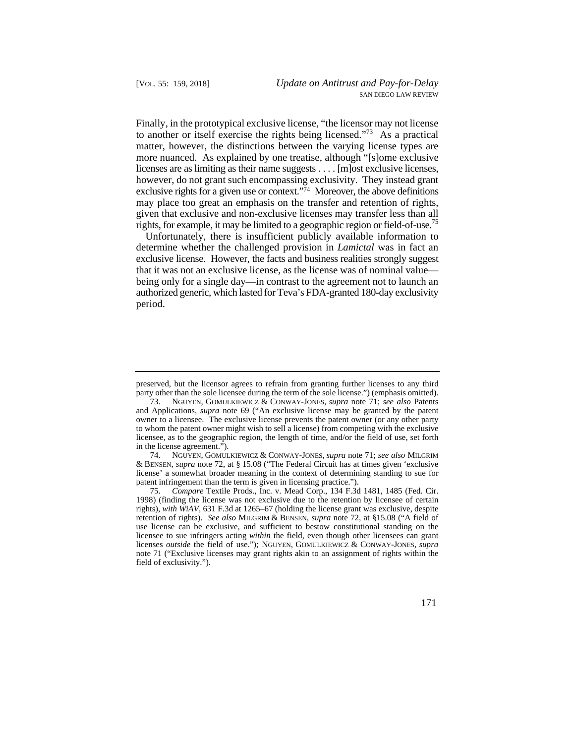Finally, in the prototypical exclusive license, "the licensor may not license to another or itself exercise the rights being licensed."<sup>73</sup> As a practical matter, however, the distinctions between the varying license types are more nuanced. As explained by one treatise, although "[s]ome exclusive licenses are as limiting as their name suggests . . . . [m]ost exclusive licenses, however, do not grant such encompassing exclusivity. They instead grant exclusive rights for a given use or context."74 Moreover, the above definitions may place too great an emphasis on the transfer and retention of rights, given that exclusive and non-exclusive licenses may transfer less than all rights, for example, it may be limited to a geographic region or field-of-use.<sup>75</sup>

 authorized generic, which lasted for Teva's FDA-granted 180-day exclusivity Unfortunately, there is insufficient publicly available information to determine whether the challenged provision in *Lamictal* was in fact an exclusive license. However, the facts and business realities strongly suggest that it was not an exclusive license, as the license was of nominal value being only for a single day—in contrast to the agreement not to launch an period.

74. NGUYEN, GOMULKIEWICZ & CONWAY-JONES, *supra* note 71; *see also* MILGRIM & BENSEN, *supra* note 72, at § 15.08 ("The Federal Circuit has at times given 'exclusive license' a somewhat broader meaning in the context of determining standing to sue for patent infringement than the term is given in licensing practice.").

preserved, but the licensor agrees to refrain from granting further licenses to any third party other than the sole licensee during the term of the sole license.") (emphasis omitted).

 owner to a licensee. The exclusive license prevents the patent owner (or any other party to whom the patent owner might wish to sell a license) from competing with the exclusive 73. NGUYEN, GOMULKIEWICZ & CONWAY-JONES, *supra* note 71; *see also* Patents and Applications, *supra* note 69 ("An exclusive license may be granted by the patent licensee, as to the geographic region, the length of time, and/or the field of use, set forth in the license agreement.").

<sup>75.</sup> *Compare* Textile Prods., Inc. v. Mead Corp., 134 F.3d 1481, 1485 (Fed. Cir. 1998) (finding the license was not exclusive due to the retention by licensee of certain rights), *with WiAV*, 631 F.3d at 1265–67 (holding the license grant was exclusive, despite retention of rights). *See also* MILGRIM & BENSEN, *supra* note 72, at §15.08 ("A field of use license can be exclusive, and sufficient to bestow constitutional standing on the licensee to sue infringers acting *within* the field, even though other licensees can grant licenses *outside* the field of use."); NGUYEN, GOMULKIEWICZ & CONWAY-JONES, *supra* note 71 ("Exclusive licenses may grant rights akin to an assignment of rights within the field of exclusivity.").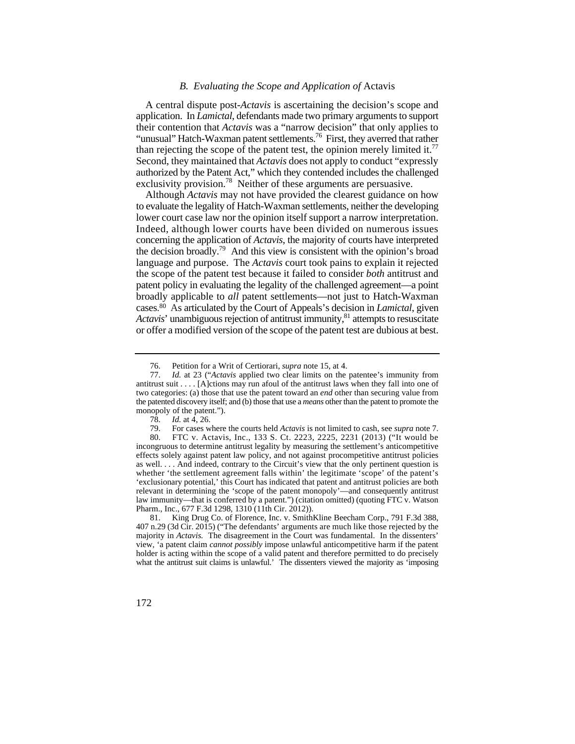#### *B. Evaluating the Scope and Application of* Actavis

than rejecting the scope of the patent test, the opinion merely limited it.<sup>77</sup> A central dispute post-*Actavis* is ascertaining the decision's scope and application. In *Lamictal*, defendants made two primary arguments to support their contention that *Actavis* was a "narrow decision" that only applies to "unusual" Hatch-Waxman patent settlements.<sup>76</sup> First, they averred that rather Second, they maintained that *Actavis* does not apply to conduct "expressly authorized by the Patent Act," which they contended includes the challenged exclusivity provision.<sup>78</sup> Neither of these arguments are persuasive.

 concerning the application of *Actavis*, the majority of courts have interpreted cases. 80 As articulated by the Court of Appeals's decision in *Lamictal*, given Although *Actavis* may not have provided the clearest guidance on how to evaluate the legality of Hatch-Waxman settlements, neither the developing lower court case law nor the opinion itself support a narrow interpretation. Indeed, although lower courts have been divided on numerous issues the decision broadly.79 And this view is consistent with the opinion's broad language and purpose. The *Actavis* court took pains to explain it rejected the scope of the patent test because it failed to consider *both* antitrust and patent policy in evaluating the legality of the challenged agreement—a point broadly applicable to *all* patent settlements—not just to Hatch-Waxman *Actavis*' unambiguous rejection of antitrust immunity,<sup>81</sup> attempts to resuscitate or offer a modified version of the scope of the patent test are dubious at best.

<sup>76.</sup> Petition for a Writ of Certiorari, *supra* note 15, at 4.

 antitrust suit . . . . [A]ctions may run afoul of the antitrust laws when they fall into one of 77. *Id.* at 23 ("*Actavis* applied two clear limits on the patentee's immunity from two categories: (a) those that use the patent toward an *end* other than securing value from the patented discovery itself; and (b) those that use a *means* other than the patent to promote the monopoly of the patent.").

<sup>78.</sup> *Id.* at 4, 26.

<sup>79.</sup> For cases where the courts held *Actavis* is not limited to cash, see *supra* note 7.

 effects solely against patent law policy, and not against procompetitive antitrust policies 80. FTC v. Actavis, Inc., 133 S. Ct. 2223, 2225, 2231 (2013) ("It would be incongruous to determine antitrust legality by measuring the settlement's anticompetitive as well. . . . And indeed, contrary to the Circuit's view that the only pertinent question is whether 'the settlement agreement falls within' the legitimate 'scope' of the patent's 'exclusionary potential,' this Court has indicated that patent and antitrust policies are both relevant in determining the 'scope of the patent monopoly'—and consequently antitrust law immunity—that is conferred by a patent.") (citation omitted) (quoting FTC v. Watson Pharm., Inc., 677 F.3d 1298, 1310 (11th Cir. 2012)).

 407 n.29 (3d Cir. 2015) ("The defendants' arguments are much like those rejected by the view, 'a patent claim *cannot possibly* impose unlawful anticompetitive harm if the patent what the antitrust suit claims is unlawful.' The dissenters viewed the majority as 'imposing 81. King Drug Co. of Florence, Inc. v. SmithKline Beecham Corp., 791 F.3d 388, majority in *Actavis.* The disagreement in the Court was fundamental. In the dissenters' holder is acting within the scope of a valid patent and therefore permitted to do precisely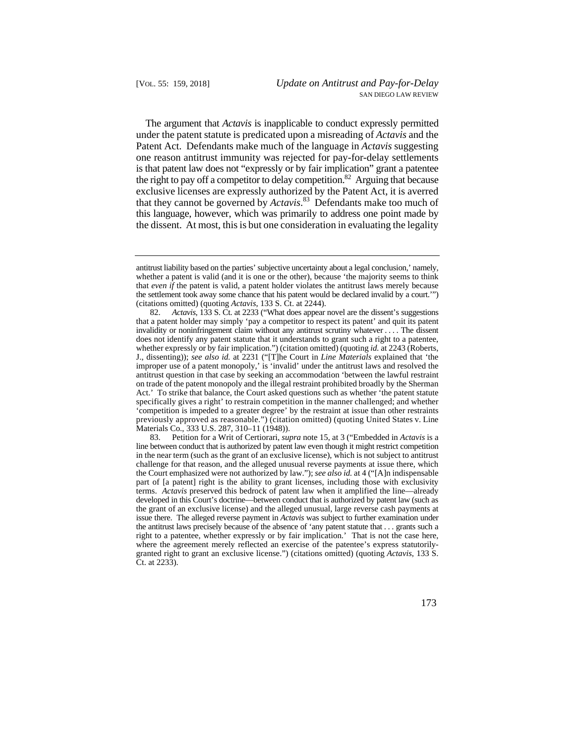the right to pay off a competitor to delay competition.<sup>82</sup> Arguing that because The argument that *Actavis* is inapplicable to conduct expressly permitted under the patent statute is predicated upon a misreading of *Actavis* and the Patent Act. Defendants make much of the language in *Actavis* suggesting one reason antitrust immunity was rejected for pay-for-delay settlements is that patent law does not "expressly or by fair implication" grant a patentee exclusive licenses are expressly authorized by the Patent Act, it is averred that they cannot be governed by *Actavis*. 83 Defendants make too much of this language, however, which was primarily to address one point made by the dissent. At most, this is but one consideration in evaluating the legality

antitrust liability based on the parties' subjective uncertainty about a legal conclusion,' namely, whether a patent is valid (and it is one or the other), because 'the majority seems to think that *even if* the patent is valid, a patent holder violates the antitrust laws merely because the settlement took away some chance that his patent would be declared invalid by a court.'") (citations omitted) (quoting *Actavis*, 133 S. Ct. at 2244).

 82. *Actavis*, 133 S. Ct. at 2233 ("What does appear novel are the dissent's suggestions antitrust question in that case by seeking an accommodation 'between the lawful restraint previously approved as reasonable.") (citation omitted) (quoting United States v. Line that a patent holder may simply 'pay a competitor to respect its patent' and quit its patent invalidity or noninfringement claim without any antitrust scrutiny whatever . . . . The dissent does not identify any patent statute that it understands to grant such a right to a patentee, whether expressly or by fair implication.") (citation omitted) (quoting *id.* at 2243 (Roberts, J., dissenting)); *see also id.* at 2231 ("[T]he Court in *Line Materials* explained that 'the improper use of a patent monopoly,' is 'invalid' under the antitrust laws and resolved the on trade of the patent monopoly and the illegal restraint prohibited broadly by the Sherman Act.' To strike that balance, the Court asked questions such as whether 'the patent statute specifically gives a right' to restrain competition in the manner challenged; and whether 'competition is impeded to a greater degree' by the restraint at issue than other restraints Materials Co., 333 U.S. 287, 310–11 (1948)).

 developed in this Court's doctrine—between conduct that is authorized by patent law (such as issue there. The alleged reverse payment in *Actavis* was subject to further examination under the antitrust laws precisely because of the absence of 'any patent statute that . . . grants such a where the agreement merely reflected an exercise of the patentee's express statutorily-83. Petition for a Writ of Certiorari, *supra* note 15, at 3 ("Embedded in *Actavis* is a line between conduct that is authorized by patent law even though it might restrict competition in the near term (such as the grant of an exclusive license), which is not subject to antitrust challenge for that reason, and the alleged unusual reverse payments at issue there, which the Court emphasized were not authorized by law."); *see also id.* at 4 ("[A]n indispensable part of [a patent] right is the ability to grant licenses, including those with exclusivity terms. *Actavis* preserved this bedrock of patent law when it amplified the line—already the grant of an exclusive license) and the alleged unusual, large reverse cash payments at right to a patentee, whether expressly or by fair implication.' That is not the case here, granted right to grant an exclusive license.") (citations omitted) (quoting *Actavis*, 133 S. Ct. at 2233).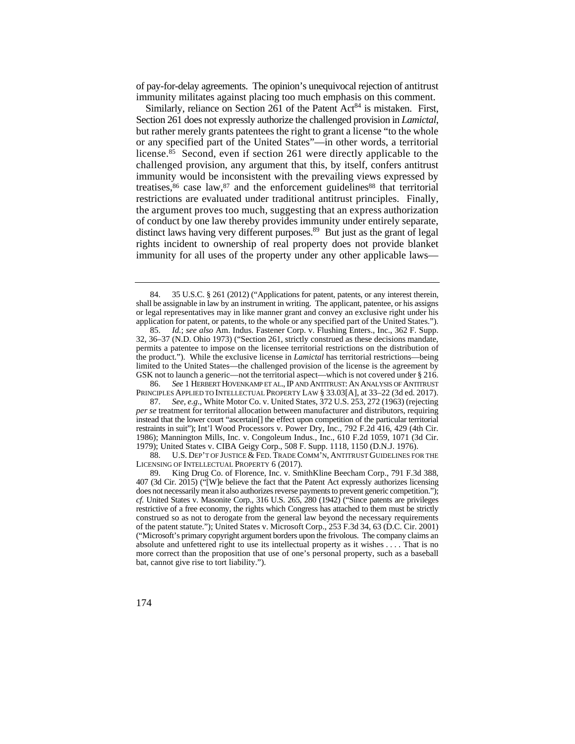of pay-for-delay agreements. The opinion's unequivocal rejection of antitrust immunity militates against placing too much emphasis on this comment.

distinct laws having very different purposes.<sup>89</sup> But just as the grant of legal Similarly, reliance on Section  $261$  of the Patent Act<sup>84</sup> is mistaken. First, Section 261 does not expressly authorize the challenged provision in *Lamictal*, but rather merely grants patentees the right to grant a license "to the whole or any specified part of the United States"—in other words, a territorial license.85 Second, even if section 261 were directly applicable to the challenged provision, any argument that this, by itself, confers antitrust immunity would be inconsistent with the prevailing views expressed by treatises, $86$  case law, $87$  and the enforcement guidelines  $88$  that territorial restrictions are evaluated under traditional antitrust principles. Finally, the argument proves too much, suggesting that an express authorization of conduct by one law thereby provides immunity under entirely separate, rights incident to ownership of real property does not provide blanket immunity for all uses of the property under any other applicable laws—

 88. U.S. DEP'T OF JUSTICE & FED. TRADE COMM'N, ANTITRUST GUIDELINES FOR THE LICENSING OF INTELLECTUAL PROPERTY 6 (2017).

<sup>84. 35</sup> U.S.C. § 261 (2012) ("Applications for patent, patents, or any interest therein, shall be assignable in law by an instrument in writing. The applicant, patentee, or his assigns or legal representatives may in like manner grant and convey an exclusive right under his application for patent, or patents, to the whole or any specified part of the United States.").

 permits a patentee to impose on the licensee territorial restrictions on the distribution of 85. *Id.*; *see also* Am. Indus. Fastener Corp. v. Flushing Enters., Inc., 362 F. Supp. 32, 36–37 (N.D. Ohio 1973) ("Section 261, strictly construed as these decisions mandate, the product."). While the exclusive license in *Lamictal* has territorial restrictions—being limited to the United States—the challenged provision of the license is the agreement by GSK not to launch a generic—not the territorial aspect—which is not covered under § 216.

<sup>86.</sup> *See* 1 HERBERT HOVENKAMP ET AL., IP AND ANTITRUST: AN ANALYSIS OF ANTITRUST PRINCIPLES APPLIED TO INTELLECTUAL PROPERTY LAW § 33.03[A], at 33–22 (3d ed. 2017).

 instead that the lower court "ascertain[] the effect upon competition of the particular territorial restraints in suit"); Int'l Wood Processors v. Power Dry, Inc., 792 F.2d 416, 429 (4th Cir. 87. *See, e.g*., White Motor Co. v. United States, 372 U.S. 253, 272 (1963) (rejecting *per se* treatment for territorial allocation between manufacturer and distributors, requiring 1986); Mannington Mills, Inc. v. Congoleum Indus., Inc., 610 F.2d 1059, 1071 (3d Cir. 1979); United States v. CIBA Geigy Corp., 508 F. Supp. 1118, 1150 (D.N.J. 1976).

 *cf.* United States v. Masonite Corp., 316 U.S. 265, 280 (1942) ("Since patents are privileges restrictive of a free economy, the rights which Congress has attached to them must be strictly absolute and unfettered right to use its intellectual property as it wishes . . . . That is no 89. King Drug Co. of Florence, Inc. v. SmithKline Beecham Corp., 791 F.3d 388, 407 (3d Cir. 2015) ("[W]e believe the fact that the Patent Act expressly authorizes licensing does not necessarily mean it also authorizes reverse payments to prevent generic competition."); construed so as not to derogate from the general law beyond the necessary requirements of the patent statute."); United States v. Microsoft Corp., 253 F.3d 34, 63 (D.C. Cir. 2001) ("Microsoft's primary copyright argument borders upon the frivolous. The company claims an more correct than the proposition that use of one's personal property, such as a baseball bat, cannot give rise to tort liability.").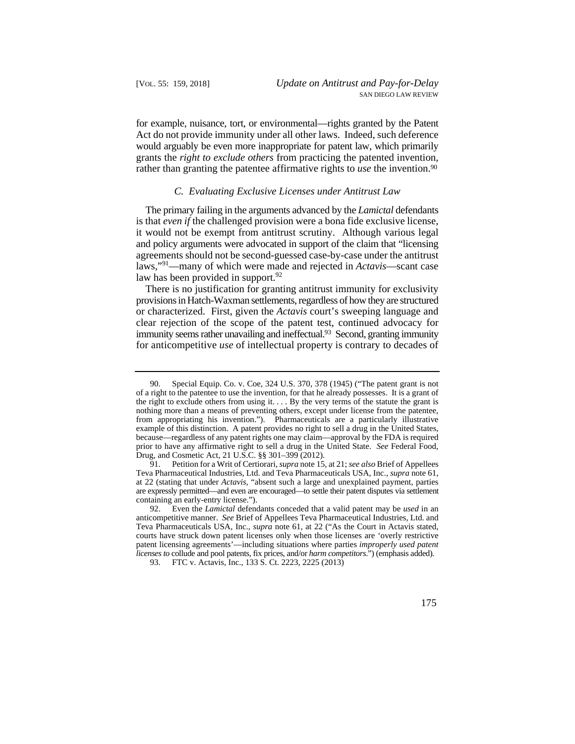for example, nuisance, tort, or environmental—rights granted by the Patent Act do not provide immunity under all other laws. Indeed, such deference would arguably be even more inappropriate for patent law, which primarily grants the *right to exclude others* from practicing the patented invention, rather than granting the patentee affirmative rights to *use* the invention.<sup>90</sup>

#### *C. Evaluating Exclusive Licenses under Antitrust Law*

 The primary failing in the arguments advanced by the *Lamictal* defendants is that *even if* the challenged provision were a bona fide exclusive license, it would not be exempt from antitrust scrutiny. Although various legal and policy arguments were advocated in support of the claim that "licensing agreements should not be second-guessed case-by-case under the antitrust laws,"91—many of which were made and rejected in *Actavis*—scant case law has been provided in support.  $92$ 

There is no justification for granting antitrust immunity for exclusivity provisions in Hatch-Waxman settlements, regardless of how they are structured or characterized. First, given the *Actavis* court's sweeping language and clear rejection of the scope of the patent test, continued advocacy for immunity seems rather unavailing and ineffectual.<sup>93</sup> Second, granting immunity for anticompetitive *use* of intellectual property is contrary to decades of

 the right to exclude others from using it. . . . By the very terms of the statute the grant is from appropriating his invention."). Pharmaceuticals are a particularly illustrative prior to have any affirmative right to sell a drug in the United State. *See* Federal Food, 90. Special Equip. Co. v. Coe, 324 U.S. 370, 378 (1945) ("The patent grant is not of a right to the patentee to use the invention, for that he already possesses. It is a grant of nothing more than a means of preventing others, except under license from the patentee, example of this distinction. A patent provides no right to sell a drug in the United States, because—regardless of any patent rights one may claim—approval by the FDA is required Drug, and Cosmetic Act, 21 U.S.C. §§ 301–399 (2012).

 Teva Pharmaceutical Industries, Ltd. and Teva Pharmaceuticals USA, Inc., *supra* note 61, 91. Petition for a Writ of Certiorari, *supra* note 15, at 21; *see also* Brief of Appellees at 22 (stating that under *Actavis*, "absent such a large and unexplained payment, parties are expressly permitted—and even are encouraged—to settle their patent disputes via settlement containing an early-entry license.").

<sup>92.</sup>  *licenses to* collude and pool patents, fix prices, and/or *harm competitors*.") (emphasis added). 92. Even the *Lamictal* defendants conceded that a valid patent may be *used* in an anticompetitive manner. *See* Brief of Appellees Teva Pharmaceutical Industries, Ltd. and Teva Pharmaceuticals USA, Inc., *supra* note 61, at 22 ("As the Court in Actavis stated, courts have struck down patent licenses only when those licenses are 'overly restrictive patent licensing agreements'—including situations where parties *improperly used patent*

<sup>93.</sup> FTC v. Actavis, Inc., 133 S. Ct. 2223, 2225 (2013)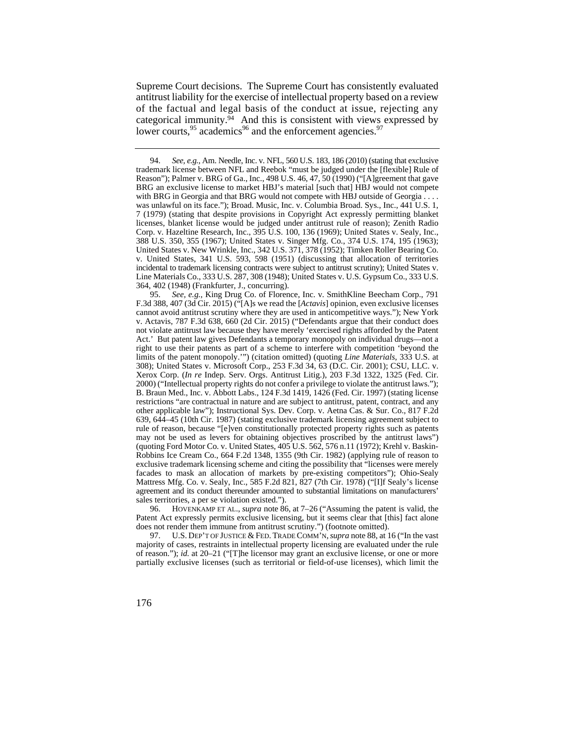Supreme Court decisions. The Supreme Court has consistently evaluated antitrust liability for the exercise of intellectual property based on a review of the factual and legal basis of the conduct at issue, rejecting any categorical immunity. $94$  And this is consistent with views expressed by lower courts.<sup>95</sup> academics<sup>96</sup> and the enforcement agencies.<sup>97</sup>

95. *See, e.g.*, King Drug Co. of Florence, Inc. v. SmithKline Beecham Corp., 791 F.3d 388, 407 (3d Cir. 2015) ("[A]s we read the [*Actavis*] opinion, even exclusive licenses cannot avoid antitrust scrutiny where they are used in anticompetitive ways."); New York v. Actavis, 787 F.3d 638, 660 (2d Cir. 2015) ("Defendants argue that their conduct does not violate antitrust law because they have merely 'exercised rights afforded by the Patent Act.' But patent law gives Defendants a temporary monopoly on individual drugs—not a right to use their patents as part of a scheme to interfere with competition 'beyond the limits of the patent monopoly.'") (citation omitted) (quoting *Line Materials*, 333 U.S. at 308); United States v. Microsoft Corp., 253 F.3d 34, 63 (D.C. Cir. 2001); CSU, LLC. v. Xerox Corp. (*In re* Indep. Serv. Orgs. Antitrust Litig.), 203 F.3d 1322, 1325 (Fed. Cir. 2000) ("Intellectual property rights do not confer a privilege to violate the antitrust laws."); B. Braun Med., Inc. v. Abbott Labs., 124 F.3d 1419, 1426 (Fed. Cir. 1997) (stating license restrictions "are contractual in nature and are subject to antitrust, patent, contract, and any other applicable law"); Instructional Sys. Dev. Corp. v. Aetna Cas. & Sur. Co., 817 F.2d 639, 644–45 (10th Cir. 1987) (stating exclusive trademark licensing agreement subject to rule of reason, because "[e]ven constitutionally protected property rights such as patents may not be used as levers for obtaining objectives proscribed by the antitrust laws") (quoting Ford Motor Co. v. United States, 405 U.S. 562, 576 n.11 (1972); Krehl v. Baskin-Robbins Ice Cream Co., 664 F.2d 1348, 1355 (9th Cir. 1982) (applying rule of reason to exclusive trademark licensing scheme and citing the possibility that "licenses were merely facades to mask an allocation of markets by pre-existing competitors"); Ohio-Sealy Mattress Mfg. Co. v. Sealy, Inc., 585 F.2d 821, 827 (7th Cir. 1978) ("[I]f Sealy's license agreement and its conduct thereunder amounted to substantial limitations on manufacturers' sales territories, a per se violation existed.").

 96. HOVENKAMP ET AL., *supra* note 86, at 7–26 ("Assuming the patent is valid, the Patent Act expressly permits exclusive licensing, but it seems clear that [this] fact alone does not render them immune from antitrust scrutiny.") (footnote omitted).

 97. U.S. DEP'T OF JUSTICE & FED. TRADE COMM'N, *supra* note 88, at 16 ("In the vast majority of cases, restraints in intellectual property licensing are evaluated under the rule of reason."); *id.* at 20–21 ("[T]he licensor may grant an exclusive license, or one or more partially exclusive licenses (such as territorial or field-of-use licenses), which limit the

 incidental to trademark licensing contracts were subject to antitrust scrutiny); United States v. 94. *See, e.g.*, Am. Needle, Inc. v. NFL, 560 U.S. 183, 186 (2010) (stating that exclusive trademark license between NFL and Reebok "must be judged under the [flexible] Rule of Reason"); Palmer v. BRG of Ga., Inc., 498 U.S. 46, 47, 50 (1990) ("[A]greement that gave BRG an exclusive license to market HBJ's material [such that] HBJ would not compete with BRG in Georgia and that BRG would not compete with HBJ outside of Georgia . . . . was unlawful on its face."); Broad. Music, Inc. v. Columbia Broad. Sys., Inc.*,* 441 U.S. 1, 7 (1979) (stating that despite provisions in Copyright Act expressly permitting blanket licenses, blanket license would be judged under antitrust rule of reason); Zenith Radio Corp. v. Hazeltine Research, Inc., 395 U.S. 100, 136 (1969); United States v. Sealy, Inc., 388 U.S. 350, 355 (1967); United States v. Singer Mfg. Co., 374 U.S. 174, 195 (1963); United States v. New Wrinkle, Inc., 342 U.S. 371, 378 (1952); Timken Roller Bearing Co. v. United States*,* 341 U.S. 593, 598 (1951) (discussing that allocation of territories Line Materials Co., 333 U.S. 287, 308 (1948); United States v. U.S. Gypsum Co., 333 U.S. 364, 402 (1948) (Frankfurter, J., concurring).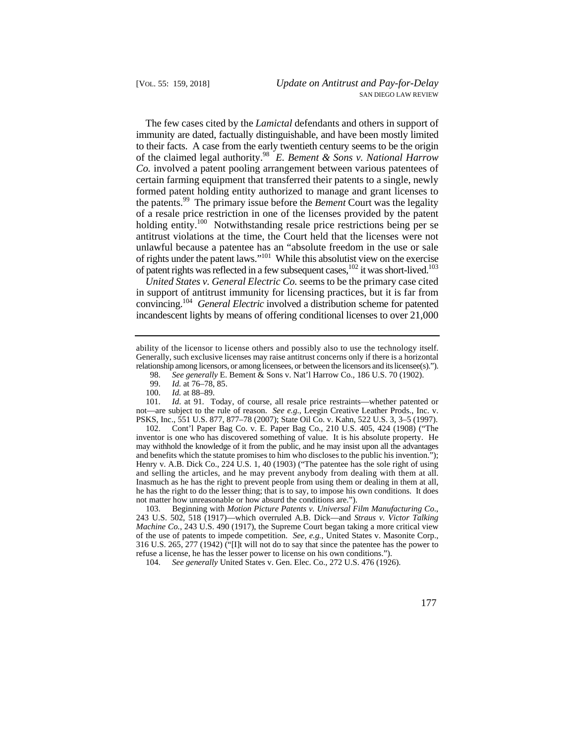immunity are dated, factually distinguishable, and have been mostly limited of the claimed legal authority.98 *E. Bement & Sons v. National Harrow*  the patents.99 The primary issue before the *Bement* Court was the legality of rights under the patent laws."<sup>101</sup> While this absolutist view on the exercise The few cases cited by the *Lamictal* defendants and others in support of to their facts. A case from the early twentieth century seems to be the origin *Co.* involved a patent pooling arrangement between various patentees of certain farming equipment that transferred their patents to a single, newly formed patent holding entity authorized to manage and grant licenses to of a resale price restriction in one of the licenses provided by the patent holding entity.<sup>100</sup> Notwithstanding resale price restrictions being per se antitrust violations at the time, the Court held that the licenses were not unlawful because a patentee has an "absolute freedom in the use or sale of patent rights was reflected in a few subsequent cases,  $^{102}$  it was short-lived.<sup>103</sup>

 convincing.104 *General Electric* involved a distribution scheme for patented *United States v. General Electric Co.* seems to be the primary case cited in support of antitrust immunity for licensing practices, but it is far from incandescent lights by means of offering conditional licenses to over 21,000

103. Beginning with *Motion Picture Patents v. Universal Film Manufacturing Co*., 243 U.S. 502, 518 (1917)—which overruled A.B. Dick—and *Straus v. Victor Talking Machine Co.*, 243 U.S. 490 (1917), the Supreme Court began taking a more critical view of the use of patents to impede competition. *See, e.g.*, United States v. Masonite Corp., 316 U.S. 265, 277 (1942) ("[I]t will not do to say that since the patentee has the power to refuse a license, he has the lesser power to license on his own conditions.").

104. *See generally* United States v. Gen. Elec. Co., 272 U.S. 476 (1926).

 relationship among licensors, or among licensees, or between the licensors and its licensee(s)."). ability of the licensor to license others and possibly also to use the technology itself. Generally, such exclusive licenses may raise antitrust concerns only if there is a horizontal

<sup>98.</sup> *See generally* E. Bement & Sons v. Nat'l Harrow Co., 186 U.S. 70 (1902).

<sup>99.</sup> *Id.* at 76–78, 85.

*Id.* at 88-89.

<sup>101.</sup> *Id*. at 91. Today, of course, all resale price restraints—whether patented or not—are subject to the rule of reason. *See e.g.*, Leegin Creative Leather Prods., Inc. v. PSKS, Inc., 551 U.S. 877, 877–78 (2007); State Oil Co. v. Kahn, 522 U.S. 3, 3–5 (1997).

 may withhold the knowledge of it from the public, and he may insist upon all the advantages and selling the articles, and he may prevent anybody from dealing with them at all. not matter how unreasonable or how absurd the conditions are."). 102. Cont'l Paper Bag Co. v. E. Paper Bag Co., 210 U.S. 405, 424 (1908) ("The inventor is one who has discovered something of value. It is his absolute property. He and benefits which the statute promises to him who discloses to the public his invention."); Henry v. A.B. Dick Co., 224 U.S. 1, 40 (1903) ("The patentee has the sole right of using Inasmuch as he has the right to prevent people from using them or dealing in them at all, he has the right to do the lesser thing; that is to say, to impose his own conditions. It does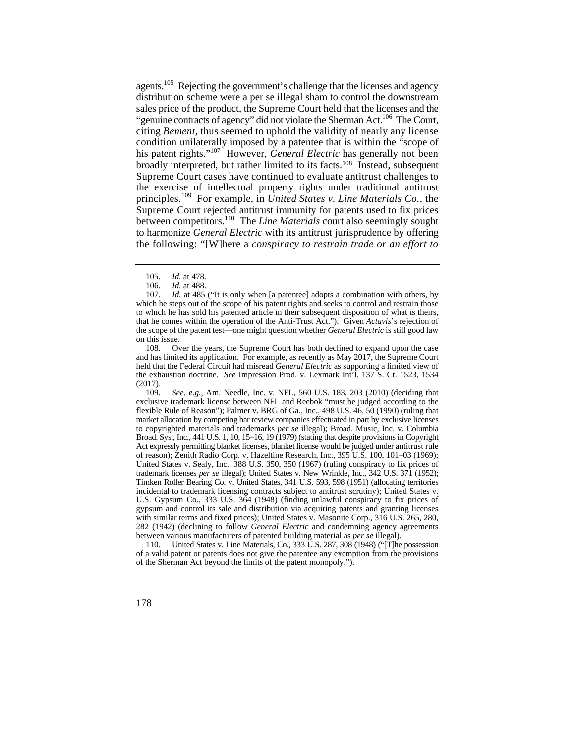his patent rights."107 However, *General Electric* has generally not been Supreme Court cases have continued to evaluate antitrust challenges to principles.109 For example, in *United States v. Line Materials Co.*, the to harmonize *General Electric* with its antitrust jurisprudence by offering agents.<sup>105</sup> Rejecting the government's challenge that the licenses and agency distribution scheme were a per se illegal sham to control the downstream sales price of the product, the Supreme Court held that the licenses and the "genuine contracts of agency" did not violate the Sherman Act.<sup>106</sup> The Court, citing *Bement*, thus seemed to uphold the validity of nearly any license condition unilaterally imposed by a patentee that is within the "scope of broadly interpreted, but rather limited to its facts.108 Instead, subsequent the exercise of intellectual property rights under traditional antitrust Supreme Court rejected antitrust immunity for patents used to fix prices between competitors.110 The *Line Materials* court also seemingly sought the following: "[W]here a *conspiracy to restrain trade or an effort to*

108. Over the years, the Supreme Court has both declined to expand upon the case and has limited its application. For example, as recently as May 2017, the Supreme Court held that the Federal Circuit had misread *General Electric* as supporting a limited view of the exhaustion doctrine. *See* Impression Prod. v. Lexmark Int'l, 137 S. Ct. 1523, 1534 (2017).

 Broad. Sys., Inc., 441 U.S. 1, 10, 15–16, 19 (1979) (stating that despite provisions in Copyright Act expressly permitting blanket licenses, blanket license would be judged under antitrust rule trademark licenses *per se* illegal); United States v. New Wrinkle, Inc., 342 U.S. 371 (1952); 109. *See, e.g.*, Am. Needle, Inc. v. NFL, 560 U.S. 183, 203 (2010) (deciding that exclusive trademark license between NFL and Reebok "must be judged according to the flexible Rule of Reason"); Palmer v. BRG of Ga., Inc., 498 U.S. 46, 50 (1990) (ruling that market allocation by competing bar review companies effectuated in part by exclusive licenses to copyrighted materials and trademarks *per se* illegal); Broad. Music, Inc. v. Columbia of reason); Zenith Radio Corp. v. Hazeltine Research, Inc., 395 U.S. 100, 101–03 (1969); United States v. Sealy, Inc., 388 U.S. 350, 350 (1967) (ruling conspiracy to fix prices of Timken Roller Bearing Co. v. United States, 341 U.S. 593, 598 (1951) (allocating territories incidental to trademark licensing contracts subject to antitrust scrutiny); United States v. U.S. Gypsum Co., 333 U.S. 364 (1948) (finding unlawful conspiracy to fix prices of gypsum and control its sale and distribution via acquiring patents and granting licenses with similar terms and fixed prices); United States v. Masonite Corp., 316 U.S. 265, 280, 282 (1942) (declining to follow *General Electric* and condemning agency agreements between various manufacturers of patented building material as *per se* illegal).

110. United States v. Line Materials, Co., 333 U.S. 287, 308 (1948) ("[T]he possession of a valid patent or patents does not give the patentee any exemption from the provisions of the Sherman Act beyond the limits of the patent monopoly.").

 <sup>105.</sup> *Id.* at 478.

<sup>106.</sup> *Id.* at 488.

 107. *Id.* at 485 ("It is only when [a patentee] adopts a combination with others, by to which he has sold his patented article in their subsequent disposition of what is theirs, which he steps out of the scope of his patent rights and seeks to control and restrain those that he comes within the operation of the Anti-Trust Act."). Given *Actavis*'s rejection of the scope of the patent test—one might question whether *General Electric* is still good law on this issue.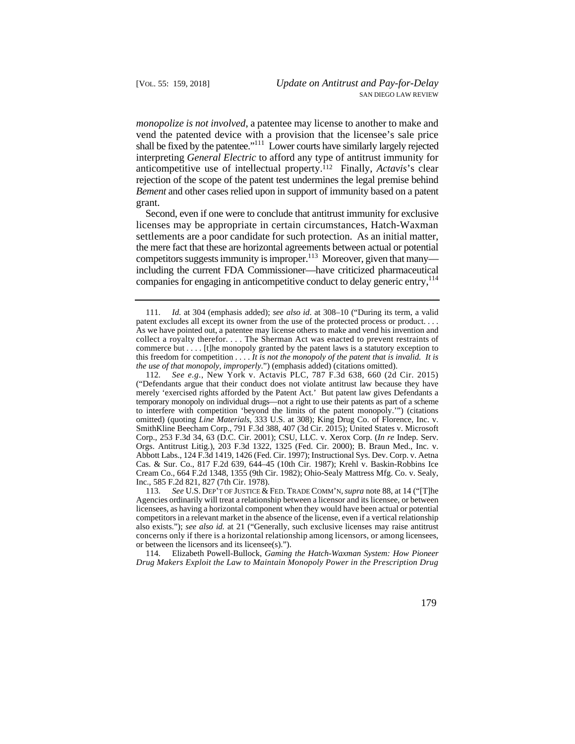rejection of the scope of the patent test undermines the legal premise behind *monopolize is not involved*, a patentee may license to another to make and vend the patented device with a provision that the licensee's sale price shall be fixed by the patentee."111 Lower courts have similarly largely rejected interpreting *General Electric* to afford any type of antitrust immunity for anticompetitive use of intellectual property.112 Finally, *Actavis*'s clear *Bement* and other cases relied upon in support of immunity based on a patent grant.

 Second, even if one were to conclude that antitrust immunity for exclusive the mere fact that these are horizontal agreements between actual or potential licenses may be appropriate in certain circumstances, Hatch-Waxman settlements are a poor candidate for such protection. As an initial matter, competitors suggests immunity is improper. $^{113}$  Moreover, given that many including the current FDA Commissioner—have criticized pharmaceutical companies for engaging in anticompetitive conduct to delay generic entry,<sup>114</sup>

 114. Elizabeth Powell-Bullock, *Gaming the Hatch-Waxman System: How Pioneer Drug Makers Exploit the Law to Maintain Monopoly Power in the Prescription Drug* 

 collect a royalty therefor. . . . The Sherman Act was enacted to prevent restraints of this freedom for competition . . . . *It is not the monopoly of the patent that is invalid. It is*  111. *Id.* at 304 (emphasis added); *see also id*. at 308–10 ("During its term, a valid patent excludes all except its owner from the use of the protected process or product. . . . As we have pointed out, a patentee may license others to make and vend his invention and commerce but . . . . [t]he monopoly granted by the patent laws is a statutory exception to *the use of that monopoly, improperly*.") (emphasis added) (citations omitted).

 ("Defendants argue that their conduct does not violate antitrust law because they have merely 'exercised rights afforded by the Patent Act.' But patent law gives Defendants a 112. *See e.g.*, New York v. Actavis PLC, 787 F.3d 638, 660 (2d Cir. 2015) temporary monopoly on individual drugs—not a right to use their patents as part of a scheme to interfere with competition 'beyond the limits of the patent monopoly.'") (citations omitted) (quoting *Line Materials*, 333 U.S. at 308); King Drug Co. of Florence, Inc. v. SmithKline Beecham Corp., 791 F.3d 388, 407 (3d Cir. 2015); United States v. Microsoft Corp., 253 F.3d 34, 63 (D.C. Cir. 2001); CSU, LLC. v. Xerox Corp. (*In re* Indep. Serv. Orgs. Antitrust Litig.), 203 F.3d 1322, 1325 (Fed. Cir. 2000); B. Braun Med., Inc. v. Abbott Labs., 124 F.3d 1419, 1426 (Fed. Cir. 1997); Instructional Sys. Dev. Corp. v. Aetna Cas. & Sur. Co., 817 F.2d 639, 644–45 (10th Cir. 1987); Krehl v. Baskin-Robbins Ice Cream Co., 664 F.2d 1348, 1355 (9th Cir. 1982); Ohio-Sealy Mattress Mfg. Co. v. Sealy, Inc., 585 F.2d 821, 827 (7th Cir. 1978).

 113. *See* U.S. DEP'T OF JUSTICE & FED. TRADE COMM'N, *supra* note 88, at 14 ("[T]he Agencies ordinarily will treat a relationship between a licensor and its licensee, or between licensees, as having a horizontal component when they would have been actual or potential competitors in a relevant market in the absence of the license, even if a vertical relationship also exists."); *see also id.* at 21 ("Generally, such exclusive licenses may raise antitrust concerns only if there is a horizontal relationship among licensors, or among licensees, or between the licensors and its licensee(s).").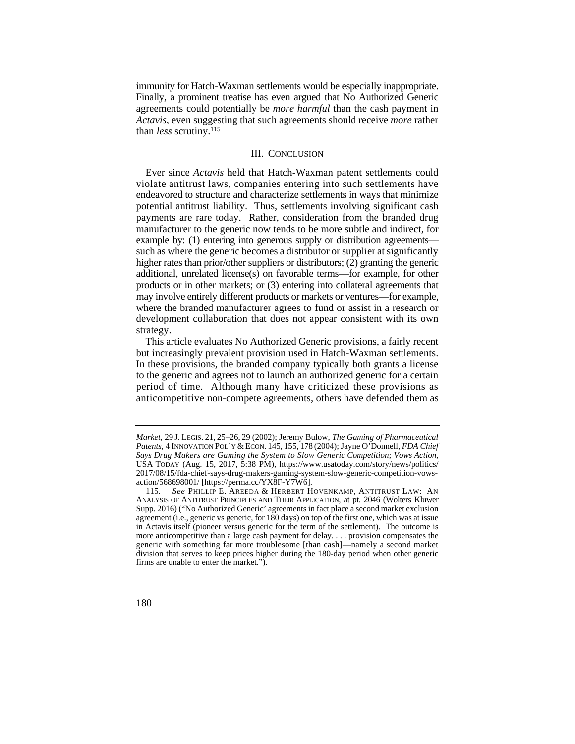immunity for Hatch-Waxman settlements would be especially inappropriate. Finally, a prominent treatise has even argued that No Authorized Generic agreements could potentially be *more harmful* than the cash payment in *Actavis*, even suggesting that such agreements should receive *more* rather than *less* scrutiny.115

## III. CONCLUSION

 higher rates than prior/other suppliers or distributors; (2) granting the generic may involve entirely different products or markets or ventures—for example, Ever since *Actavis* held that Hatch-Waxman patent settlements could violate antitrust laws, companies entering into such settlements have endeavored to structure and characterize settlements in ways that minimize potential antitrust liability. Thus, settlements involving significant cash payments are rare today. Rather, consideration from the branded drug manufacturer to the generic now tends to be more subtle and indirect, for example by: (1) entering into generous supply or distribution agreements such as where the generic becomes a distributor or supplier at significantly additional, unrelated license(s) on favorable terms—for example, for other products or in other markets; or (3) entering into collateral agreements that where the branded manufacturer agrees to fund or assist in a research or development collaboration that does not appear consistent with its own strategy.

but increasingly prevalent provision used in Hatch-Waxman settlements. This article evaluates No Authorized Generic provisions, a fairly recent In these provisions, the branded company typically both grants a license to the generic and agrees not to launch an authorized generic for a certain period of time. Although many have criticized these provisions as anticompetitive non-compete agreements, others have defended them as

 *Market*, 29 J. LEGIS. 21, 25–26, 29 (2002); Jeremy Bulow, *The Gaming of Pharmaceutical Patents*, 4 INNOVATION POL'Y & ECON. 145, 155, 178 (2004); Jayne O'Donnell, *FDA Chief Says Drug Makers are Gaming the System to Slow Generic Competition; Vows Action*, USA TODAY (Aug. 15, 2017, 5:38 PM), https://www.usatoday.com/story/news/politics/ 2017/08/15/fda-chief-says-drug-makers-gaming-system-slow-generic-competition-vowsaction/568698001/ [https://perma.cc/YX8F-Y7W6].

 115. *See* PHILLIP E. AREEDA & HERBERT HOVENKAMP, ANTITRUST LAW: AN ANALYSIS OF ANTITRUST PRINCIPLES AND THEIR APPLICATION, at pt. 2046 (Wolters Kluwer Supp. 2016) ("No Authorized Generic' agreements in fact place a second market exclusion agreement (i.e., generic vs generic, for 180 days) on top of the first one, which was at issue in Actavis itself (pioneer versus generic for the term of the settlement). The outcome is more anticompetitive than a large cash payment for delay. . . . provision compensates the generic with something far more troublesome [than cash]—namely a second market division that serves to keep prices higher during the 180-day period when other generic firms are unable to enter the market.").